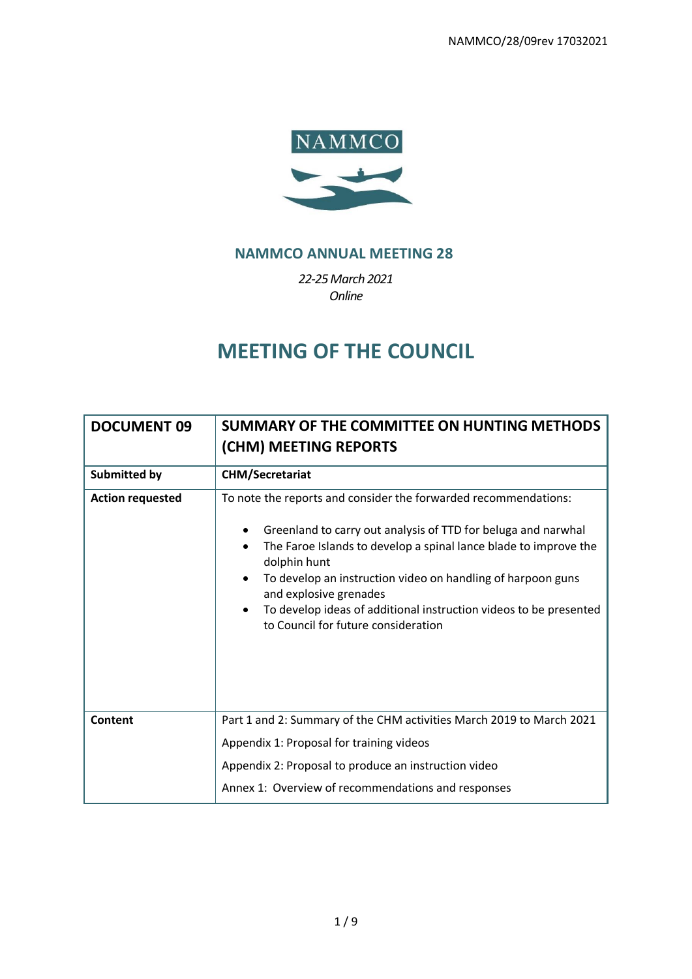

# **NAMMCO ANNUAL MEETING 28**

*22-25March 2021 Online*

# **MEETING OF THE COUNCIL**

| <b>DOCUMENT 09</b>      | SUMMARY OF THE COMMITTEE ON HUNTING METHODS<br>(CHM) MEETING REPORTS                                                                                                                                                                                                                                                                                                                                                                        |
|-------------------------|---------------------------------------------------------------------------------------------------------------------------------------------------------------------------------------------------------------------------------------------------------------------------------------------------------------------------------------------------------------------------------------------------------------------------------------------|
| <b>Submitted by</b>     | <b>CHM/Secretariat</b>                                                                                                                                                                                                                                                                                                                                                                                                                      |
| <b>Action requested</b> | To note the reports and consider the forwarded recommendations:<br>Greenland to carry out analysis of TTD for beluga and narwhal<br>The Faroe Islands to develop a spinal lance blade to improve the<br>dolphin hunt<br>To develop an instruction video on handling of harpoon guns<br>$\bullet$<br>and explosive grenades<br>To develop ideas of additional instruction videos to be presented<br>٠<br>to Council for future consideration |
| Content                 | Part 1 and 2: Summary of the CHM activities March 2019 to March 2021<br>Appendix 1: Proposal for training videos                                                                                                                                                                                                                                                                                                                            |
|                         | Appendix 2: Proposal to produce an instruction video                                                                                                                                                                                                                                                                                                                                                                                        |
|                         | Annex 1: Overview of recommendations and responses                                                                                                                                                                                                                                                                                                                                                                                          |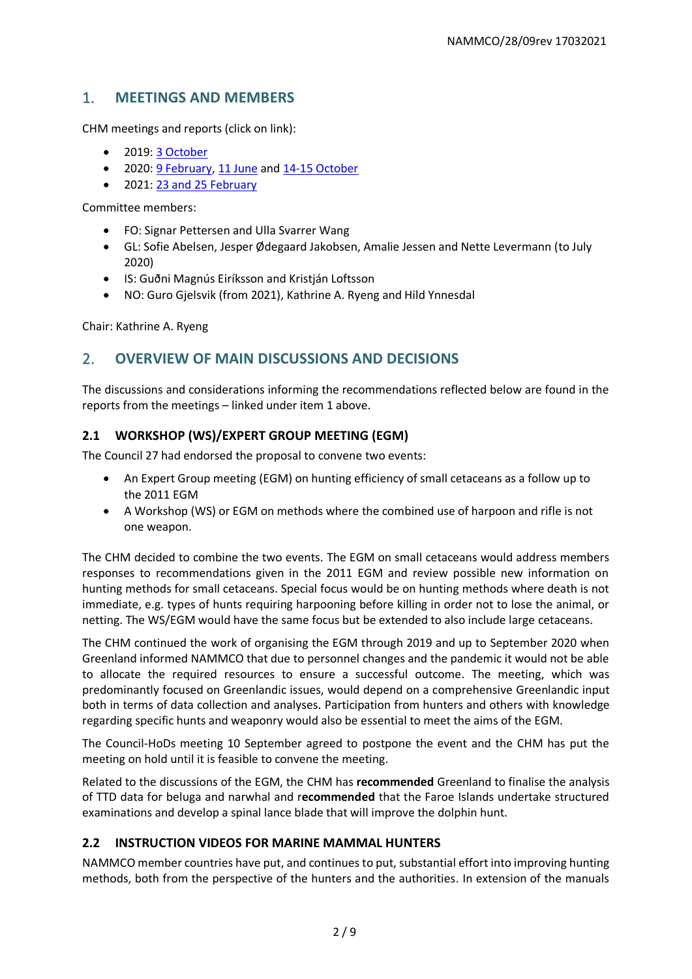# 1. **MEETINGS AND MEMBERS**

CHM meetings and reports (click on link):

- 2019: [3 October](https://nammco.no/wp-content/uploads/2017/08/report_chm-2019-03-1.pdf)
- 2020: [9 February,](https://nammco.no/wp-content/uploads/2017/08/report-chm-february-2020-01.pdf) [11 June](https://nammco.no/wp-content/uploads/2017/08/report_chm-11-june-2020-.pdf) and [14-15 October](https://nammco.no/wp-content/uploads/2017/08/report_chm-ocotber-2020-03.pdf)
- 2021: [23 and 25 February](https://nammco.no/wp-content/uploads/2017/08/report_chm-february-2021-01rev.pdf)

Committee members:

- FO: Signar Pettersen and Ulla Svarrer Wang
- GL: Sofie Abelsen, Jesper Ødegaard Jakobsen, Amalie Jessen and Nette Levermann (to July 2020)
- IS: Guðni Magnús Eiríksson and Kristján Loftsson
- NO: Guro Gjelsvik (from 2021), Kathrine A. Ryeng and Hild Ynnesdal

Chair: Kathrine A. Ryeng

# 2. **OVERVIEW OF MAIN DISCUSSIONS AND DECISIONS**

The discussions and considerations informing the recommendations reflected below are found in the reports from the meetings – linked under item 1 above.

# **2.1 WORKSHOP (WS)/EXPERT GROUP MEETING (EGM)**

The Council 27 had endorsed the proposal to convene two events:

- An Expert Group meeting (EGM) on hunting efficiency of small cetaceans as a follow up to the 2011 EGM
- A Workshop (WS) or EGM on methods where the combined use of harpoon and rifle is not one weapon.

The CHM decided to combine the two events. The EGM on small cetaceans would address members responses to recommendations given in the 2011 EGM and review possible new information on hunting methods for small cetaceans. Special focus would be on hunting methods where death is not immediate, e.g. types of hunts requiring harpooning before killing in order not to lose the animal, or netting. The WS/EGM would have the same focus but be extended to also include large cetaceans.

The CHM continued the work of organising the EGM through 2019 and up to September 2020 when Greenland informed NAMMCO that due to personnel changes and the pandemic it would not be able to allocate the required resources to ensure a successful outcome. The meeting, which was predominantly focused on Greenlandic issues, would depend on a comprehensive Greenlandic input both in terms of data collection and analyses. Participation from hunters and others with knowledge regarding specific hunts and weaponry would also be essential to meet the aims of the EGM.

The Council-HoDs meeting 10 September agreed to postpone the event and the CHM has put the meeting on hold until it is feasible to convene the meeting.

Related to the discussions of the EGM, the CHM has **recommended** Greenland to finalise the analysis of TTD data for beluga and narwhal and r**ecommended** that the Faroe Islands undertake structured examinations and develop a spinal lance blade that will improve the dolphin hunt.

#### **2.2 INSTRUCTION VIDEOS FOR MARINE MAMMAL HUNTERS**

NAMMCO member countries have put, and continues to put, substantial effort into improving hunting methods, both from the perspective of the hunters and the authorities. In extension of the manuals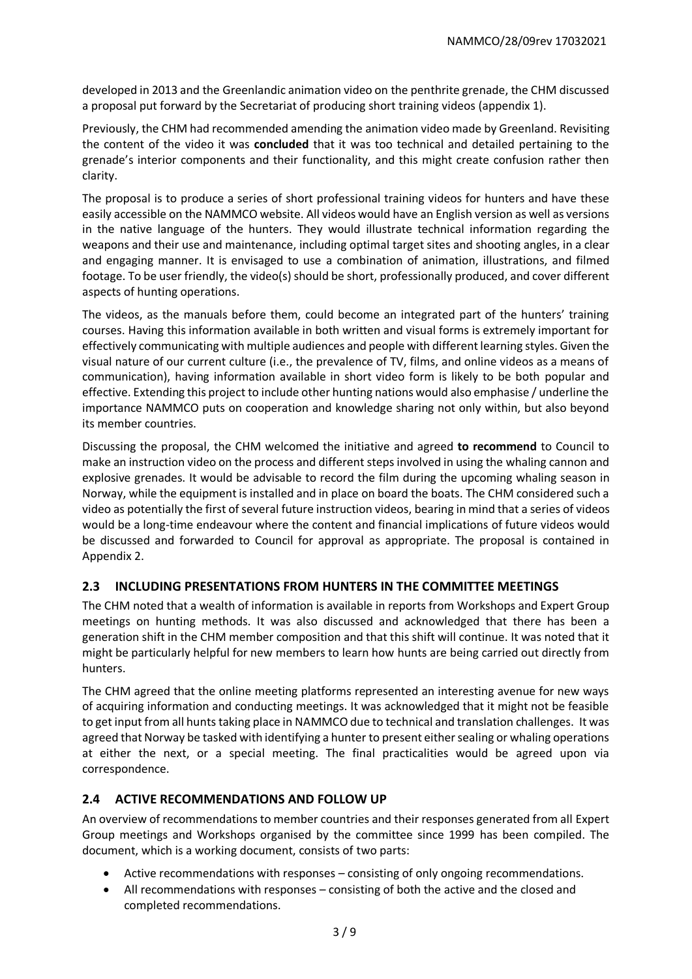developed in 2013 and the Greenlandic animation video on the penthrite grenade, the CHM discussed a proposal put forward by the Secretariat of producing short training videos (appendix 1).

Previously, the CHM had recommended amending the animation video made by Greenland. Revisiting the content of the video it was **concluded** that it was too technical and detailed pertaining to the grenade's interior components and their functionality, and this might create confusion rather then clarity.

The proposal is to produce a series of short professional training videos for hunters and have these easily accessible on the NAMMCO website. All videos would have an English version as well as versions in the native language of the hunters. They would illustrate technical information regarding the weapons and their use and maintenance, including optimal target sites and shooting angles, in a clear and engaging manner. It is envisaged to use a combination of animation, illustrations, and filmed footage. To be user friendly, the video(s) should be short, professionally produced, and cover different aspects of hunting operations.

The videos, as the manuals before them, could become an integrated part of the hunters' training courses. Having this information available in both written and visual forms is extremely important for effectively communicating with multiple audiences and people with different learning styles. Given the visual nature of our current culture (i.e., the prevalence of TV, films, and online videos as a means of communication), having information available in short video form is likely to be both popular and effective. Extending this project to include other hunting nations would also emphasise / underline the importance NAMMCO puts on cooperation and knowledge sharing not only within, but also beyond its member countries.

Discussing the proposal, the CHM welcomed the initiative and agreed **to recommend** to Council to make an instruction video on the process and different steps involved in using the whaling cannon and explosive grenades. It would be advisable to record the film during the upcoming whaling season in Norway, while the equipment is installed and in place on board the boats. The CHM considered such a video as potentially the first of several future instruction videos, bearing in mind that a series of videos would be a long-time endeavour where the content and financial implications of future videos would be discussed and forwarded to Council for approval as appropriate. The proposal is contained in Appendix 2.

# **2.3 INCLUDING PRESENTATIONS FROM HUNTERS IN THE COMMITTEE MEETINGS**

The CHM noted that a wealth of information is available in reports from Workshops and Expert Group meetings on hunting methods. It was also discussed and acknowledged that there has been a generation shift in the CHM member composition and that this shift will continue. It was noted that it might be particularly helpful for new members to learn how hunts are being carried out directly from hunters.

The CHM agreed that the online meeting platforms represented an interesting avenue for new ways of acquiring information and conducting meetings. It was acknowledged that it might not be feasible to get input from all hunts taking place in NAMMCO due to technical and translation challenges. It was agreed that Norway be tasked with identifying a hunter to present either sealing or whaling operations at either the next, or a special meeting. The final practicalities would be agreed upon via correspondence.

# **2.4 ACTIVE RECOMMENDATIONS AND FOLLOW UP**

An overview of recommendations to member countries and their responses generated from all Expert Group meetings and Workshops organised by the committee since 1999 has been compiled. The document, which is a working document, consists of two parts:

- Active recommendations with responses consisting of only ongoing recommendations.
- All recommendations with responses consisting of both the active and the closed and completed recommendations.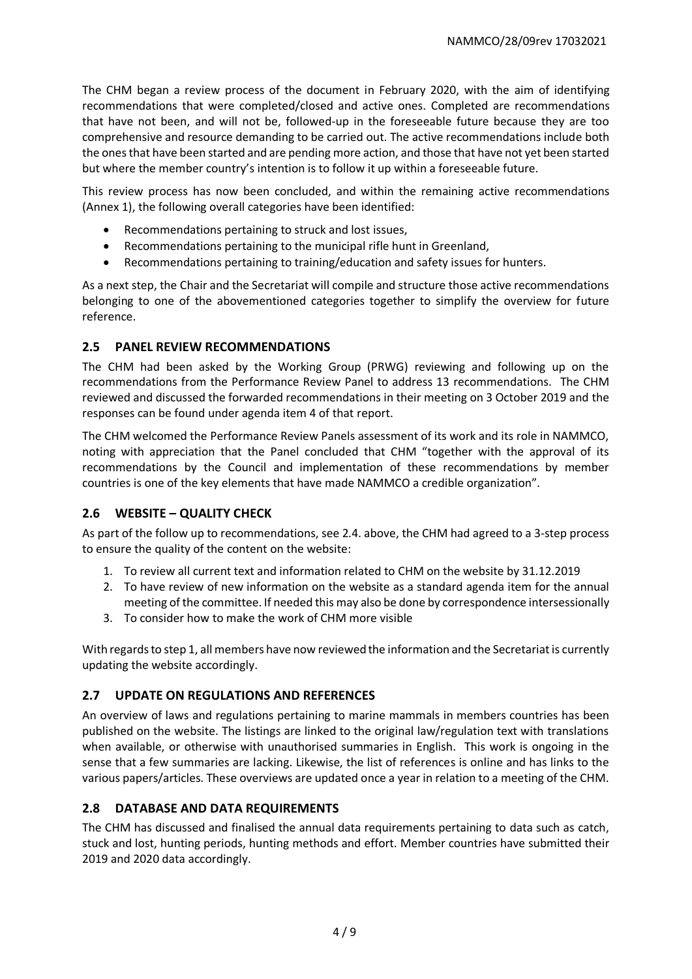The CHM began a review process of the document in February 2020, with the aim of identifying recommendations that were completed/closed and active ones. Completed are recommendations that have not been, and will not be, followed-up in the foreseeable future because they are too comprehensive and resource demanding to be carried out. The active recommendations include both the ones that have been started and are pending more action, and those that have not yet been started but where the member country's intention is to follow it up within a foreseeable future.

This review process has now been concluded, and within the remaining active recommendations (Annex 1), the following overall categories have been identified:

- Recommendations pertaining to struck and lost issues,
- Recommendations pertaining to the municipal rifle hunt in Greenland,
- Recommendations pertaining to training/education and safety issues for hunters.

As a next step, the Chair and the Secretariat will compile and structure those active recommendations belonging to one of the abovementioned categories together to simplify the overview for future reference.

# **2.5 PANEL REVIEW RECOMMENDATIONS**

The CHM had been asked by the Working Group (PRWG) reviewing and following up on the recommendations from the Performance Review Panel to address 13 recommendations. The CHM reviewed and discussed the forwarded recommendations in their meeting on 3 October 2019 and the responses can be found under agenda item 4 of that report.

The CHM welcomed the Performance Review Panels assessment of its work and its role in NAMMCO, noting with appreciation that the Panel concluded that CHM "together with the approval of its recommendations by the Council and implementation of these recommendations by member countries is one of the key elements that have made NAMMCO a credible organization".

# **2.6 WEBSITE – QUALITY CHECK**

As part of the follow up to recommendations, see 2.4. above, the CHM had agreed to a 3-step process to ensure the quality of the content on the website:

- 1. To review all current text and information related to CHM on the website by 31.12.2019
- 2. To have review of new information on the website as a standard agenda item for the annual meeting of the committee. If needed this may also be done by correspondence intersessionally
- 3. To consider how to make the work of CHM more visible

With regards to step 1, all members have now reviewed the information and the Secretariat is currently updating the website accordingly.

# **2.7 UPDATE ON REGULATIONS AND REFERENCES**

An overview of laws and regulations pertaining to marine mammals in members countries has been published on the website. The listings are linked to the original law/regulation text with translations when available, or otherwise with unauthorised summaries in English. This work is ongoing in the sense that a few summaries are lacking. Likewise, the list of references is online and has links to the various papers/articles. These overviews are updated once a year in relation to a meeting of the CHM.

# **2.8 DATABASE AND DATA REQUIREMENTS**

The CHM has discussed and finalised the annual data requirements pertaining to data such as catch, stuck and lost, hunting periods, hunting methods and effort. Member countries have submitted their 2019 and 2020 data accordingly.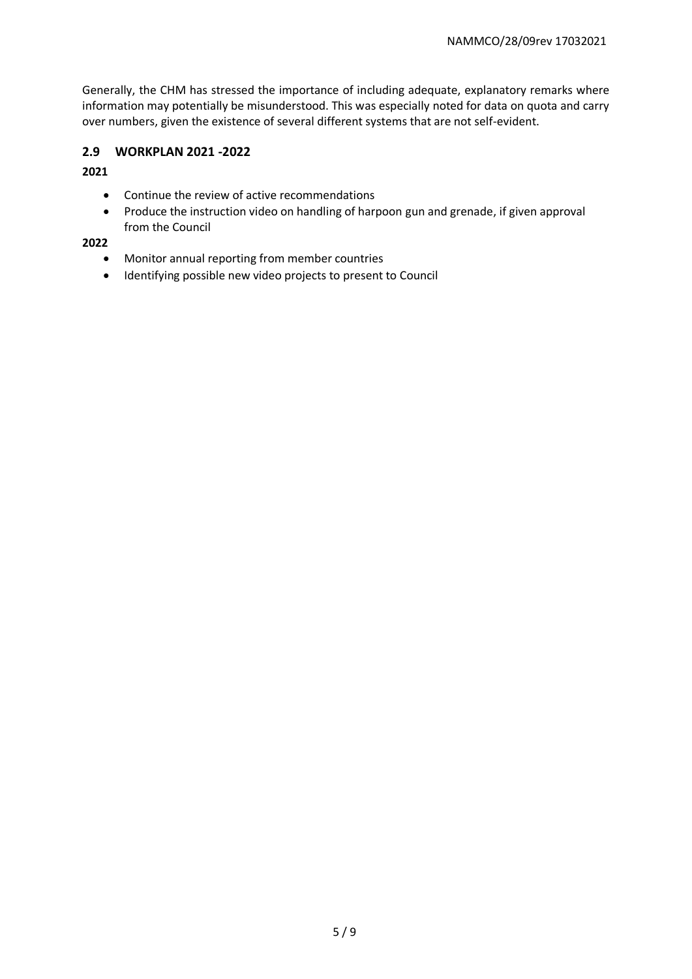Generally, the CHM has stressed the importance of including adequate, explanatory remarks where information may potentially be misunderstood. This was especially noted for data on quota and carry over numbers, given the existence of several different systems that are not self-evident.

#### **2.9 WORKPLAN 2021 -2022**

#### **2021**

- Continue the review of active recommendations
- Produce the instruction video on handling of harpoon gun and grenade, if given approval from the Council

#### **2022**

- Monitor annual reporting from member countries
- Identifying possible new video projects to present to Council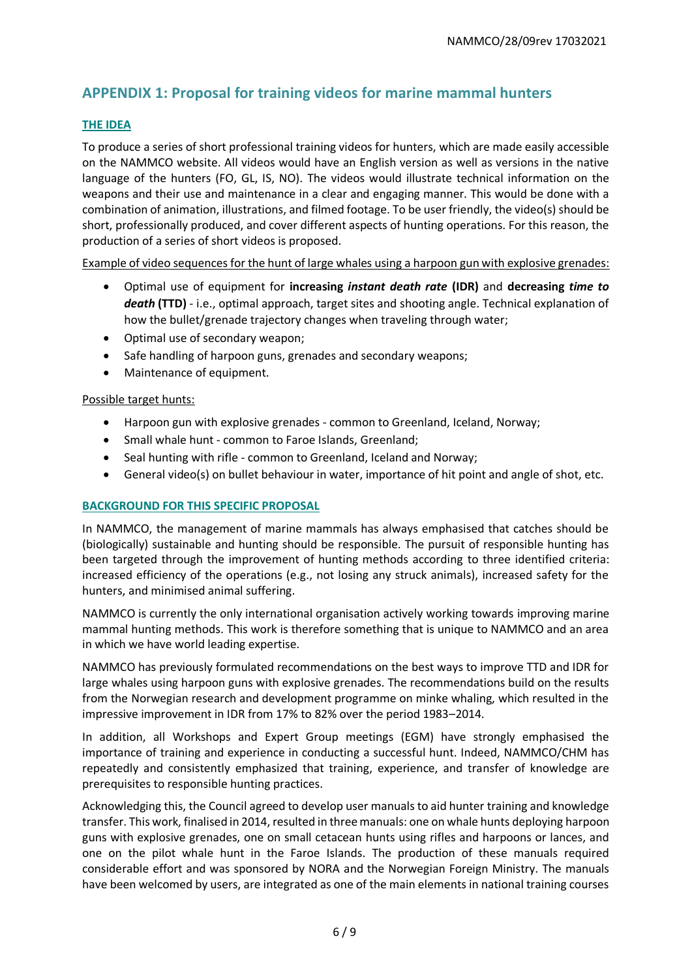# **APPENDIX 1: Proposal for training videos for marine mammal hunters**

#### **THE IDEA**

To produce a series of short professional training videos for hunters, which are made easily accessible on the NAMMCO website. All videos would have an English version as well as versions in the native language of the hunters (FO, GL, IS, NO). The videos would illustrate technical information on the weapons and their use and maintenance in a clear and engaging manner. This would be done with a combination of animation, illustrations, and filmed footage. To be user friendly, the video(s) should be short, professionally produced, and cover different aspects of hunting operations. For this reason, the production of a series of short videos is proposed.

Example of video sequences for the hunt of large whales using a harpoon gun with explosive grenades:

- Optimal use of equipment for **increasing** *instant death rate* **(IDR)** and **decreasing** *time to death* **(TTD)** - i.e., optimal approach, target sites and shooting angle. Technical explanation of how the bullet/grenade trajectory changes when traveling through water;
- Optimal use of secondary weapon;
- Safe handling of harpoon guns, grenades and secondary weapons;
- Maintenance of equipment.

#### Possible target hunts:

- Harpoon gun with explosive grenades common to Greenland, Iceland, Norway;
- Small whale hunt common to Faroe Islands, Greenland;
- Seal hunting with rifle common to Greenland, Iceland and Norway;
- General video(s) on bullet behaviour in water, importance of hit point and angle of shot, etc.

#### **BACKGROUND FOR THIS SPECIFIC PROPOSAL**

In NAMMCO, the management of marine mammals has always emphasised that catches should be (biologically) sustainable and hunting should be responsible. The pursuit of responsible hunting has been targeted through the improvement of hunting methods according to three identified criteria: increased efficiency of the operations (e.g., not losing any struck animals), increased safety for the hunters, and minimised animal suffering.

NAMMCO is currently the only international organisation actively working towards improving marine mammal hunting methods. This work is therefore something that is unique to NAMMCO and an area in which we have world leading expertise.

NAMMCO has previously formulated recommendations on the best ways to improve TTD and IDR for large whales using harpoon guns with explosive grenades. The recommendations build on the results from the Norwegian research and development programme on minke whaling, which resulted in the impressive improvement in IDR from 17% to 82% over the period 1983–2014.

In addition, all Workshops and Expert Group meetings (EGM) have strongly emphasised the importance of training and experience in conducting a successful hunt. Indeed, NAMMCO/CHM has repeatedly and consistently emphasized that training, experience, and transfer of knowledge are prerequisites to responsible hunting practices.

Acknowledging this, the Council agreed to develop user manuals to aid hunter training and knowledge transfer. This work, finalised in 2014, resulted in three manuals: one on whale hunts deploying harpoon guns with explosive grenades, one on small cetacean hunts using rifles and harpoons or lances, and one on the pilot whale hunt in the Faroe Islands. The production of these manuals required considerable effort and was sponsored by NORA and the Norwegian Foreign Ministry. The manuals have been welcomed by users, are integrated as one of the main elements in national training courses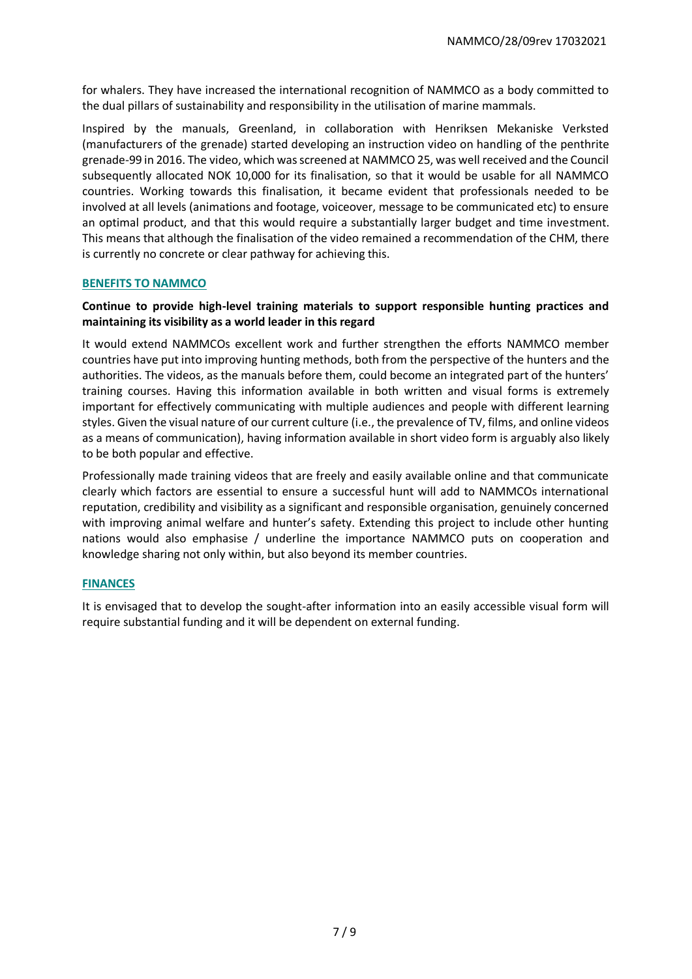for whalers. They have increased the international recognition of NAMMCO as a body committed to the dual pillars of sustainability and responsibility in the utilisation of marine mammals.

Inspired by the manuals, Greenland, in collaboration with Henriksen Mekaniske Verksted (manufacturers of the grenade) started developing an instruction video on handling of the penthrite grenade-99 in 2016. The video, which was screened at NAMMCO 25, was well received and the Council subsequently allocated NOK 10,000 for its finalisation, so that it would be usable for all NAMMCO countries. Working towards this finalisation, it became evident that professionals needed to be involved at all levels (animations and footage, voiceover, message to be communicated etc) to ensure an optimal product, and that this would require a substantially larger budget and time investment. This means that although the finalisation of the video remained a recommendation of the CHM, there is currently no concrete or clear pathway for achieving this.

#### **BENEFITS TO NAMMCO**

#### **Continue to provide high-level training materials to support responsible hunting practices and maintaining its visibility as a world leader in this regard**

It would extend NAMMCOs excellent work and further strengthen the efforts NAMMCO member countries have put into improving hunting methods, both from the perspective of the hunters and the authorities. The videos, as the manuals before them, could become an integrated part of the hunters' training courses. Having this information available in both written and visual forms is extremely important for effectively communicating with multiple audiences and people with different learning styles. Given the visual nature of our current culture (i.e., the prevalence of TV, films, and online videos as a means of communication), having information available in short video form is arguably also likely to be both popular and effective.

Professionally made training videos that are freely and easily available online and that communicate clearly which factors are essential to ensure a successful hunt will add to NAMMCOs international reputation, credibility and visibility as a significant and responsible organisation, genuinely concerned with improving animal welfare and hunter's safety. Extending this project to include other hunting nations would also emphasise / underline the importance NAMMCO puts on cooperation and knowledge sharing not only within, but also beyond its member countries.

#### **FINANCES**

It is envisaged that to develop the sought-after information into an easily accessible visual form will require substantial funding and it will be dependent on external funding.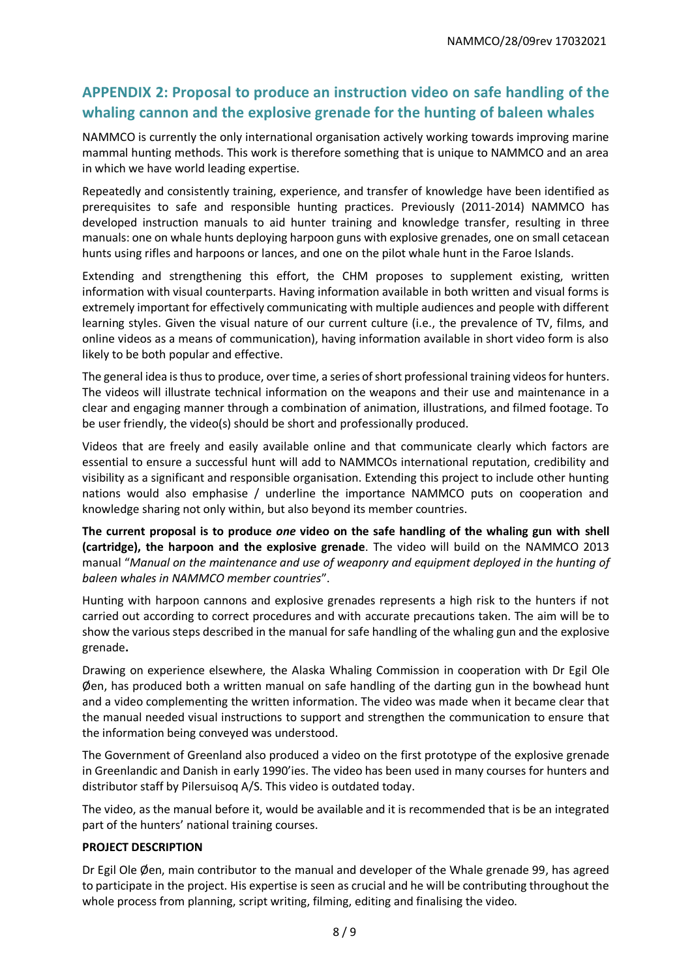# **APPENDIX 2: Proposal to produce an instruction video on safe handling of the whaling cannon and the explosive grenade for the hunting of baleen whales**

NAMMCO is currently the only international organisation actively working towards improving marine mammal hunting methods. This work is therefore something that is unique to NAMMCO and an area in which we have world leading expertise.

Repeatedly and consistently training, experience, and transfer of knowledge have been identified as prerequisites to safe and responsible hunting practices. Previously (2011-2014) NAMMCO has developed instruction manuals to aid hunter training and knowledge transfer, resulting in three manuals: one on whale hunts deploying harpoon guns with explosive grenades, one on small cetacean hunts using rifles and harpoons or lances, and one on the pilot whale hunt in the Faroe Islands.

Extending and strengthening this effort, the CHM proposes to supplement existing, written information with visual counterparts. Having information available in both written and visual forms is extremely important for effectively communicating with multiple audiences and people with different learning styles. Given the visual nature of our current culture (i.e., the prevalence of TV, films, and online videos as a means of communication), having information available in short video form is also likely to be both popular and effective.

The general idea is thus to produce, over time, a series of short professional training videos for hunters. The videos will illustrate technical information on the weapons and their use and maintenance in a clear and engaging manner through a combination of animation, illustrations, and filmed footage. To be user friendly, the video(s) should be short and professionally produced.

Videos that are freely and easily available online and that communicate clearly which factors are essential to ensure a successful hunt will add to NAMMCOs international reputation, credibility and visibility as a significant and responsible organisation. Extending this project to include other hunting nations would also emphasise / underline the importance NAMMCO puts on cooperation and knowledge sharing not only within, but also beyond its member countries.

**The current proposal is to produce** *one* **video on the safe handling of the whaling gun with shell (cartridge), the harpoon and the explosive grenade**. The video will build on the NAMMCO 2013 manual "*Manual on the maintenance and use of weaponry and equipment deployed in the hunting of baleen whales in NAMMCO member countries*".

Hunting with harpoon cannons and explosive grenades represents a high risk to the hunters if not carried out according to correct procedures and with accurate precautions taken. The aim will be to show the various steps described in the manual for safe handling of the whaling gun and the explosive grenade**.**

Drawing on experience elsewhere, the Alaska Whaling Commission in cooperation with Dr Egil Ole Øen, has produced both a written manual on safe handling of the darting gun in the bowhead hunt and a video complementing the written information. The video was made when it became clear that the manual needed visual instructions to support and strengthen the communication to ensure that the information being conveyed was understood.

The Government of Greenland also produced a video on the first prototype of the explosive grenade in Greenlandic and Danish in early 1990'ies. The video has been used in many courses for hunters and distributor staff by Pilersuisoq A/S. This video is outdated today.

The video, as the manual before it, would be available and it is recommended that is be an integrated part of the hunters' national training courses.

#### **PROJECT DESCRIPTION**

Dr Egil Ole Øen, main contributor to the manual and developer of the Whale grenade 99, has agreed to participate in the project. His expertise is seen as crucial and he will be contributing throughout the whole process from planning, script writing, filming, editing and finalising the video.